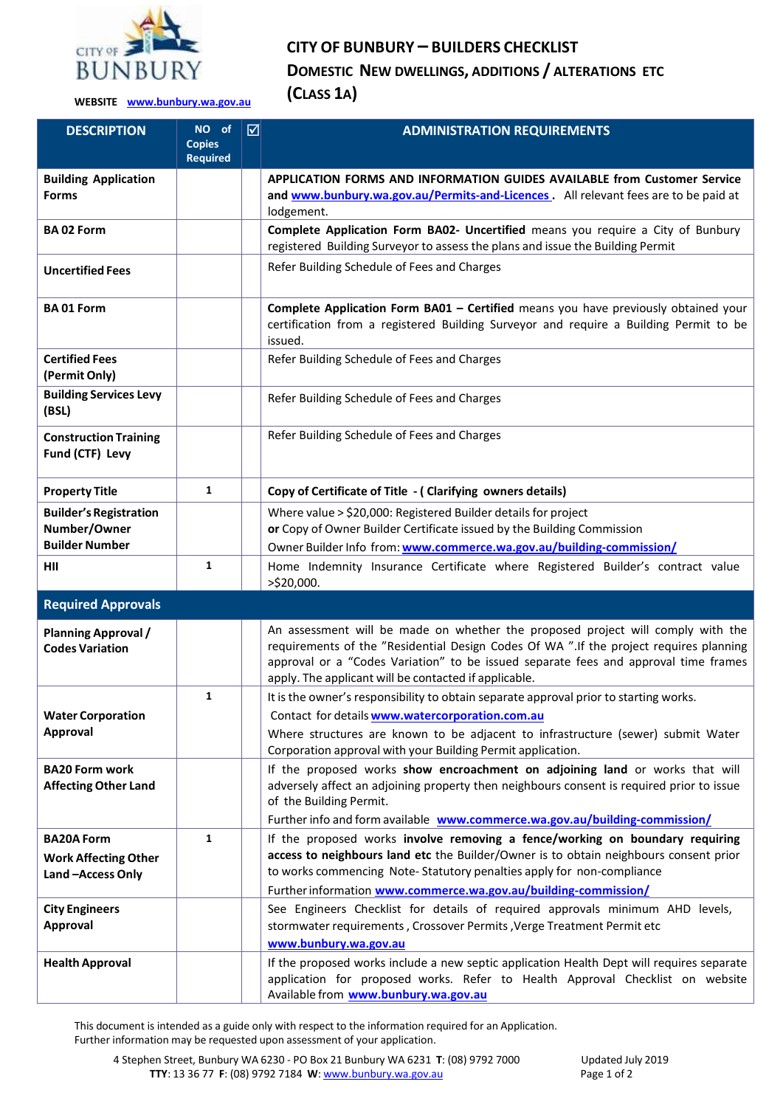

## **CITY OF BUNBURY – BUILDERS CHECKLIST**

**DOMESTIC NEW DWELLINGS, ADDITIONS / ALTERATIONS ETC**

**WEBSITE [www.bunbury.wa.gov.au](http://www.bunbury.wa.gov.au/) (CLASS 1A)**

| <b>DESCRIPTION</b>                                                     | NO of<br><b>Copies</b> | ☑ | <b>ADMINISTRATION REQUIREMENTS</b>                                                                                                                                                                                                                                                                                         |
|------------------------------------------------------------------------|------------------------|---|----------------------------------------------------------------------------------------------------------------------------------------------------------------------------------------------------------------------------------------------------------------------------------------------------------------------------|
|                                                                        | <b>Required</b>        |   |                                                                                                                                                                                                                                                                                                                            |
| <b>Building Application</b><br><b>Forms</b>                            |                        |   | APPLICATION FORMS AND INFORMATION GUIDES AVAILABLE from Customer Service<br>and www.bunbury.wa.gov.au/Permits-and-Licences. All relevant fees are to be paid at<br>lodgement.                                                                                                                                              |
| <b>BA02 Form</b>                                                       |                        |   | Complete Application Form BA02- Uncertified means you require a City of Bunbury<br>registered Building Surveyor to assess the plans and issue the Building Permit                                                                                                                                                          |
| <b>Uncertified Fees</b>                                                |                        |   | Refer Building Schedule of Fees and Charges                                                                                                                                                                                                                                                                                |
| <b>BA01 Form</b>                                                       |                        |   | Complete Application Form BA01 - Certified means you have previously obtained your<br>certification from a registered Building Surveyor and require a Building Permit to be<br>issued.                                                                                                                                     |
| <b>Certified Fees</b><br>(Permit Only)                                 |                        |   | Refer Building Schedule of Fees and Charges                                                                                                                                                                                                                                                                                |
| <b>Building Services Levy</b><br>(BSL)                                 |                        |   | Refer Building Schedule of Fees and Charges                                                                                                                                                                                                                                                                                |
| <b>Construction Training</b><br>Fund (CTF) Levy                        |                        |   | Refer Building Schedule of Fees and Charges                                                                                                                                                                                                                                                                                |
| <b>Property Title</b>                                                  | 1                      |   | Copy of Certificate of Title - (Clarifying owners details)                                                                                                                                                                                                                                                                 |
| <b>Builder's Registration</b><br>Number/Owner<br><b>Builder Number</b> |                        |   | Where value > \$20,000: Registered Builder details for project<br>or Copy of Owner Builder Certificate issued by the Building Commission<br>Owner Builder Info from: www.commerce.wa.gov.au/building-commission/                                                                                                           |
| HII                                                                    | 1                      |   | Home Indemnity Insurance Certificate where Registered Builder's contract value<br>>\$20,000.                                                                                                                                                                                                                               |
| <b>Required Approvals</b>                                              |                        |   |                                                                                                                                                                                                                                                                                                                            |
| <b>Planning Approval /</b><br><b>Codes Variation</b>                   |                        |   | An assessment will be made on whether the proposed project will comply with the<br>requirements of the "Residential Design Codes Of WA ". If the project requires planning<br>approval or a "Codes Variation" to be issued separate fees and approval time frames<br>apply. The applicant will be contacted if applicable. |
|                                                                        | 1                      |   | It is the owner's responsibility to obtain separate approval prior to starting works.                                                                                                                                                                                                                                      |
| <b>Water Corporation</b>                                               |                        |   | Contact for details www.watercorporation.com.au                                                                                                                                                                                                                                                                            |
| Approval                                                               |                        |   | Where structures are known to be adjacent to infrastructure (sewer) submit Water<br>Corporation approval with your Building Permit application.                                                                                                                                                                            |
| <b>BA20 Form work</b><br><b>Affecting Other Land</b>                   |                        |   | If the proposed works show encroachment on adjoining land or works that will<br>adversely affect an adjoining property then neighbours consent is required prior to issue<br>of the Building Permit.<br>Further info and form available www.commerce.wa.gov.au/building-commission/                                        |
| <b>BA20A Form</b>                                                      | 1                      |   | If the proposed works involve removing a fence/working on boundary requiring                                                                                                                                                                                                                                               |
| <b>Work Affecting Other</b>                                            |                        |   | access to neighbours land etc the Builder/Owner is to obtain neighbours consent prior                                                                                                                                                                                                                                      |
| Land-Access Only                                                       |                        |   | to works commencing Note-Statutory penalties apply for non-compliance                                                                                                                                                                                                                                                      |
| <b>City Engineers</b>                                                  |                        |   | Further information www.commerce.wa.gov.au/building-commission/<br>See Engineers Checklist for details of required approvals minimum AHD levels,                                                                                                                                                                           |
| Approval                                                               |                        |   | stormwater requirements, Crossover Permits, Verge Treatment Permit etc<br>www.bunbury.wa.gov.au                                                                                                                                                                                                                            |
| <b>Health Approval</b>                                                 |                        |   | If the proposed works include a new septic application Health Dept will requires separate<br>application for proposed works. Refer to Health Approval Checklist on website<br>Available from www.bunbury.wa.gov.au                                                                                                         |

This document is intended as a guide only with respect to the information required for an Application. Further information may be requested upon assessment of your application.